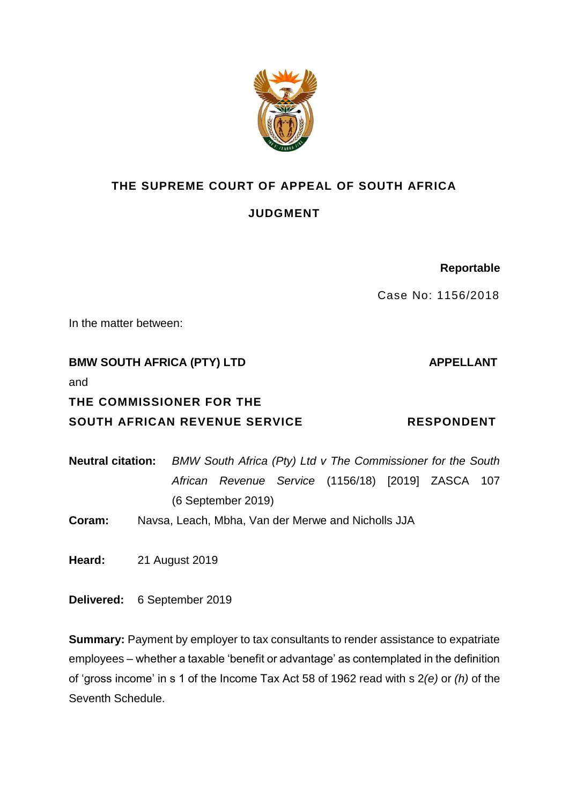

## **THE SUPREME COURT OF APPEAL OF SOUTH AFRICA**

# **JUDGMENT**

### **Reportable**

Case No: 1156/2018

In the matter between:

# **BMW SOUTH AFRICA (PTY) LTD APPELLANT** and **THE COMMISSIONER FOR THE**  SOUTH AFRICAN REVENUE SERVICE RESPONDENT

**Neutral citation:** *BMW South Africa (Pty) Ltd v The Commissioner for the South African Revenue Service* (1156/18) [2019] ZASCA 107 (6 September 2019)

**Coram:** Navsa, Leach, Mbha, Van der Merwe and Nicholls JJA

**Heard:** 21 August 2019

**Delivered:** 6 September 2019

**Summary:** Payment by employer to tax consultants to render assistance to expatriate employees – whether a taxable 'benefit or advantage' as contemplated in the definition of 'gross income' in s 1 of the Income Tax Act 58 of 1962 read with s 2*(e)* or *(h)* of the Seventh Schedule.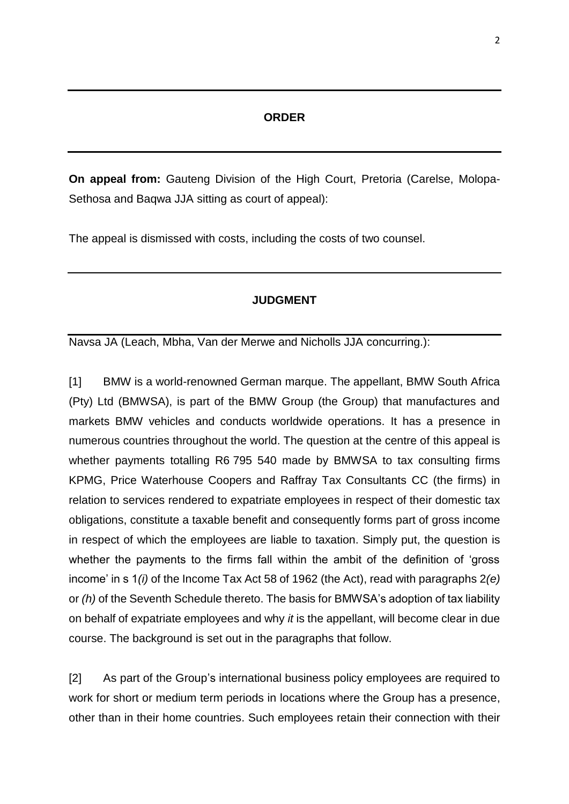#### **ORDER**

**On appeal from:** Gauteng Division of the High Court, Pretoria (Carelse, Molopa-Sethosa and Baqwa JJA sitting as court of appeal):

The appeal is dismissed with costs, including the costs of two counsel.

#### **JUDGMENT**

Navsa JA (Leach, Mbha, Van der Merwe and Nicholls JJA concurring.):

[1] BMW is a world-renowned German marque. The appellant, BMW South Africa (Pty) Ltd (BMWSA), is part of the BMW Group (the Group) that manufactures and markets BMW vehicles and conducts worldwide operations. It has a presence in numerous countries throughout the world. The question at the centre of this appeal is whether payments totalling R6 795 540 made by BMWSA to tax consulting firms KPMG, Price Waterhouse Coopers and Raffray Tax Consultants CC (the firms) in relation to services rendered to expatriate employees in respect of their domestic tax obligations, constitute a taxable benefit and consequently forms part of gross income in respect of which the employees are liable to taxation. Simply put, the question is whether the payments to the firms fall within the ambit of the definition of 'gross income' in s 1*(i)* of the Income Tax Act 58 of 1962 (the Act), read with paragraphs 2*(e)* or *(h)* of the Seventh Schedule thereto. The basis for BMWSA's adoption of tax liability on behalf of expatriate employees and why *it* is the appellant, will become clear in due course. The background is set out in the paragraphs that follow.

[2] As part of the Group's international business policy employees are required to work for short or medium term periods in locations where the Group has a presence, other than in their home countries. Such employees retain their connection with their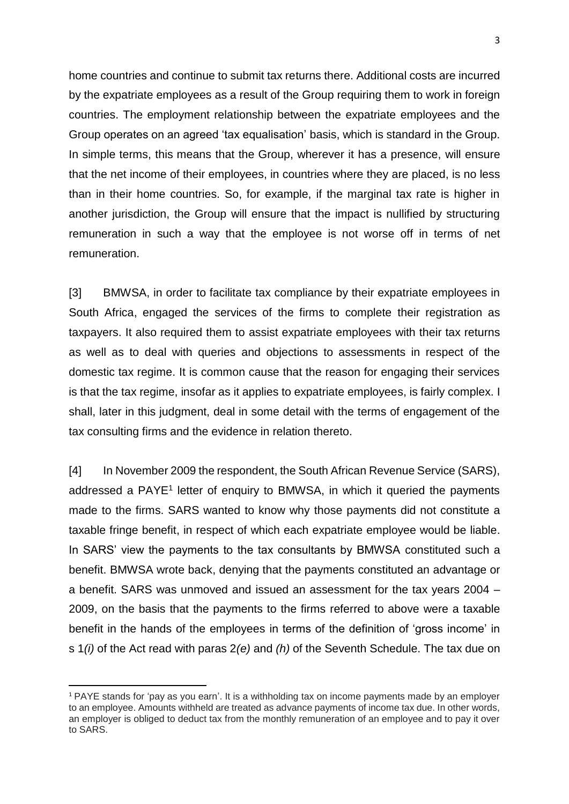home countries and continue to submit tax returns there. Additional costs are incurred by the expatriate employees as a result of the Group requiring them to work in foreign countries. The employment relationship between the expatriate employees and the Group operates on an agreed 'tax equalisation' basis, which is standard in the Group. In simple terms, this means that the Group, wherever it has a presence, will ensure that the net income of their employees, in countries where they are placed, is no less than in their home countries. So, for example, if the marginal tax rate is higher in another jurisdiction, the Group will ensure that the impact is nullified by structuring remuneration in such a way that the employee is not worse off in terms of net remuneration.

[3] BMWSA, in order to facilitate tax compliance by their expatriate employees in South Africa, engaged the services of the firms to complete their registration as taxpayers. It also required them to assist expatriate employees with their tax returns as well as to deal with queries and objections to assessments in respect of the domestic tax regime. It is common cause that the reason for engaging their services is that the tax regime, insofar as it applies to expatriate employees, is fairly complex. I shall, later in this judgment, deal in some detail with the terms of engagement of the tax consulting firms and the evidence in relation thereto.

[4] In November 2009 the respondent, the South African Revenue Service (SARS), addressed a PAYE<sup>1</sup> letter of enquiry to BMWSA, in which it queried the payments made to the firms. SARS wanted to know why those payments did not constitute a taxable fringe benefit, in respect of which each expatriate employee would be liable. In SARS' view the payments to the tax consultants by BMWSA constituted such a benefit. BMWSA wrote back, denying that the payments constituted an advantage or a benefit. SARS was unmoved and issued an assessment for the tax years 2004 – 2009, on the basis that the payments to the firms referred to above were a taxable benefit in the hands of the employees in terms of the definition of 'gross income' in s 1*(i)* of the Act read with paras 2*(e)* and *(h)* of the Seventh Schedule. The tax due on

**.** 

<sup>1</sup> PAYE stands for 'pay as you earn'. It is a withholding tax on income payments made by an employer to an employee. Amounts withheld are treated as advance payments of income tax due. In other words, an employer is obliged to deduct tax from the monthly remuneration of an employee and to pay it over to SARS.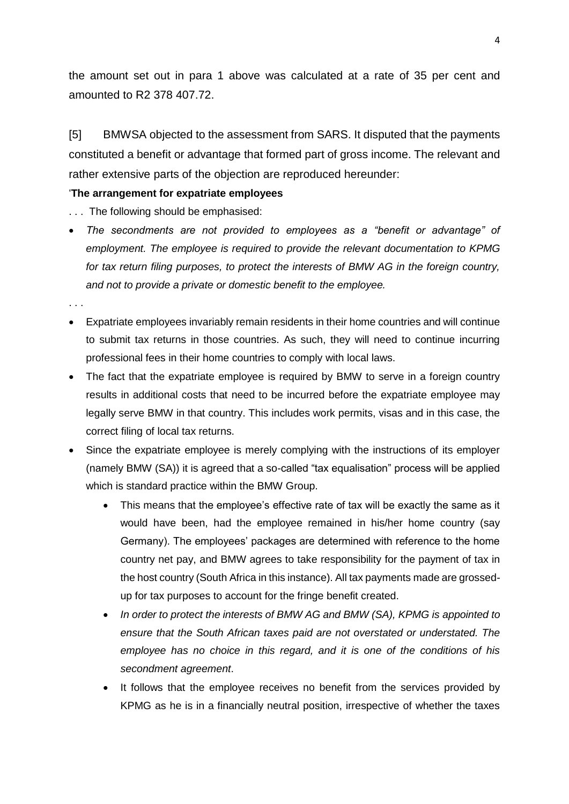the amount set out in para 1 above was calculated at a rate of 35 per cent and amounted to R2 378 407.72.

[5] BMWSA objected to the assessment from SARS. It disputed that the payments constituted a benefit or advantage that formed part of gross income. The relevant and rather extensive parts of the objection are reproduced hereunder:

#### '**The arrangement for expatriate employees**

- . . . The following should be emphasised:
- *The secondments are not provided to employees as a "benefit or advantage" of employment. The employee is required to provide the relevant documentation to KPMG for tax return filing purposes, to protect the interests of BMW AG in the foreign country, and not to provide a private or domestic benefit to the employee.*

. . .

- Expatriate employees invariably remain residents in their home countries and will continue to submit tax returns in those countries. As such, they will need to continue incurring professional fees in their home countries to comply with local laws.
- The fact that the expatriate employee is required by BMW to serve in a foreign country results in additional costs that need to be incurred before the expatriate employee may legally serve BMW in that country. This includes work permits, visas and in this case, the correct filing of local tax returns.
- Since the expatriate employee is merely complying with the instructions of its employer (namely BMW (SA)) it is agreed that a so-called "tax equalisation" process will be applied which is standard practice within the BMW Group.
	- This means that the employee's effective rate of tax will be exactly the same as it would have been, had the employee remained in his/her home country (say Germany). The employees' packages are determined with reference to the home country net pay, and BMW agrees to take responsibility for the payment of tax in the host country (South Africa in this instance). All tax payments made are grossedup for tax purposes to account for the fringe benefit created.
	- *In order to protect the interests of BMW AG and BMW (SA), KPMG is appointed to ensure that the South African taxes paid are not overstated or understated. The employee has no choice in this regard, and it is one of the conditions of his secondment agreement*.
	- It follows that the employee receives no benefit from the services provided by KPMG as he is in a financially neutral position, irrespective of whether the taxes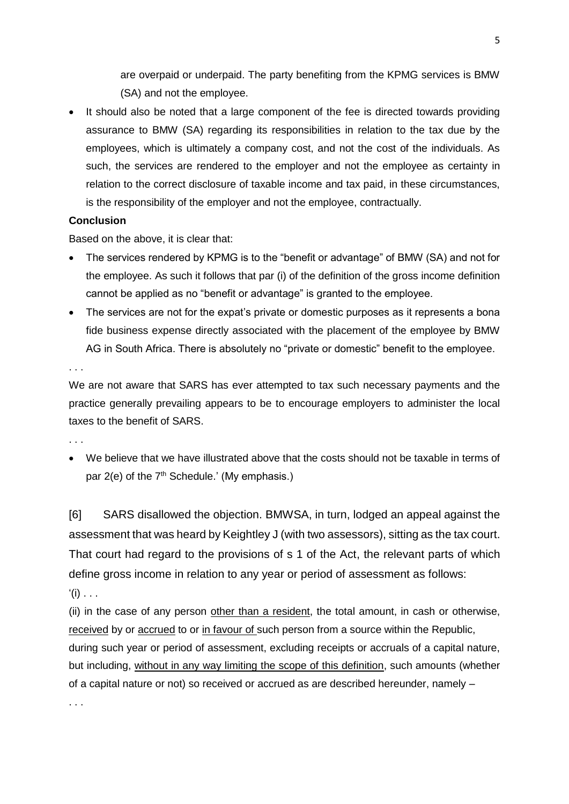are overpaid or underpaid. The party benefiting from the KPMG services is BMW (SA) and not the employee.

• It should also be noted that a large component of the fee is directed towards providing assurance to BMW (SA) regarding its responsibilities in relation to the tax due by the employees, which is ultimately a company cost, and not the cost of the individuals. As such, the services are rendered to the employer and not the employee as certainty in relation to the correct disclosure of taxable income and tax paid, in these circumstances, is the responsibility of the employer and not the employee, contractually.

#### **Conclusion**

Based on the above, it is clear that:

- The services rendered by KPMG is to the "benefit or advantage" of BMW (SA) and not for the employee. As such it follows that par (i) of the definition of the gross income definition cannot be applied as no "benefit or advantage" is granted to the employee.
- The services are not for the expat's private or domestic purposes as it represents a bona fide business expense directly associated with the placement of the employee by BMW AG in South Africa. There is absolutely no "private or domestic" benefit to the employee.

. . .

We are not aware that SARS has ever attempted to tax such necessary payments and the practice generally prevailing appears to be to encourage employers to administer the local taxes to the benefit of SARS.

. . .

. . .

 We believe that we have illustrated above that the costs should not be taxable in terms of par  $2(e)$  of the  $7<sup>th</sup>$  Schedule.' (My emphasis.)

[6] SARS disallowed the objection. BMWSA, in turn, lodged an appeal against the assessment that was heard by Keightley J (with two assessors), sitting as the tax court. That court had regard to the provisions of s 1 of the Act, the relevant parts of which define gross income in relation to any year or period of assessment as follows:  $'(i)$ ...

(ii) in the case of any person other than a resident, the total amount, in cash or otherwise, received by or accrued to or in favour of such person from a source within the Republic, during such year or period of assessment, excluding receipts or accruals of a capital nature, but including, without in any way limiting the scope of this definition, such amounts (whether of a capital nature or not) so received or accrued as are described hereunder, namely –

5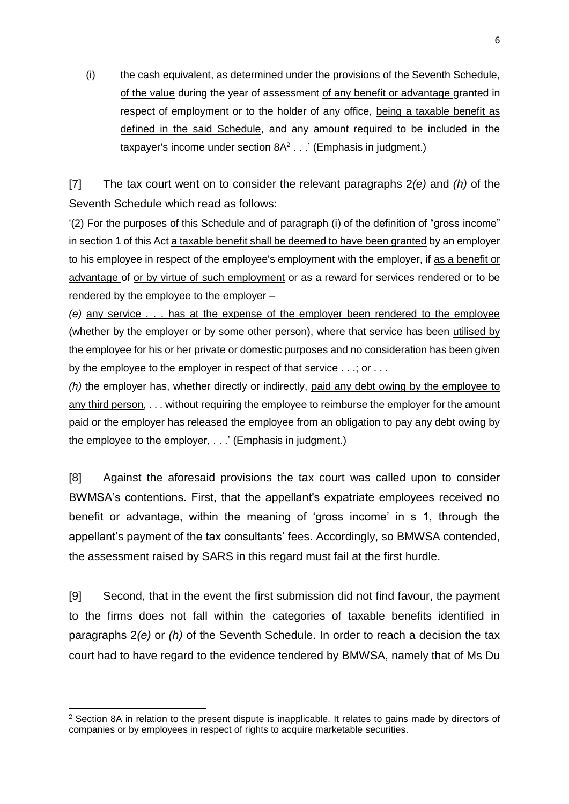(i) the cash equivalent, as determined under the provisions of the Seventh Schedule, of the value during the year of assessment of any benefit or advantage granted in respect of employment or to the holder of any office, being a taxable benefit as defined in the said Schedule, and any amount required to be included in the taxpayer's income under section  $8A<sup>2</sup>$ ...' (Emphasis in judgment.)

[7] The tax court went on to consider the relevant paragraphs 2*(e)* and *(h)* of the Seventh Schedule which read as follows:

'(2) For the purposes of this Schedule and of paragraph (i) of the definition of "gross income" in section 1 of this Act a taxable benefit shall be deemed to have been granted by an employer to his employee in respect of the employee's employment with the employer, if as a benefit or advantage of or by virtue of such employment or as a reward for services rendered or to be rendered by the employee to the employer –

*(e)* any service . . . has at the expense of the employer been rendered to the employee (whether by the employer or by some other person), where that service has been utilised by the employee for his or her private or domestic purposes and no consideration has been given by the employee to the employer in respect of that service . . .; or . . .

*(h)* the employer has, whether directly or indirectly, paid any debt owing by the employee to any third person, . . . without requiring the employee to reimburse the employer for the amount paid or the employer has released the employee from an obligation to pay any debt owing by the employee to the employer, . . .' (Emphasis in judgment.)

[8] Against the aforesaid provisions the tax court was called upon to consider BWMSA's contentions. First, that the appellant's expatriate employees received no benefit or advantage, within the meaning of 'gross income' in s 1, through the appellant's payment of the tax consultants' fees. Accordingly, so BMWSA contended, the assessment raised by SARS in this regard must fail at the first hurdle.

[9] Second, that in the event the first submission did not find favour, the payment to the firms does not fall within the categories of taxable benefits identified in paragraphs 2*(e)* or *(h)* of the Seventh Schedule. In order to reach a decision the tax court had to have regard to the evidence tendered by BMWSA, namely that of Ms Du

**.** 

<sup>&</sup>lt;sup>2</sup> Section 8A in relation to the present dispute is inapplicable. It relates to gains made by directors of companies or by employees in respect of rights to acquire marketable securities.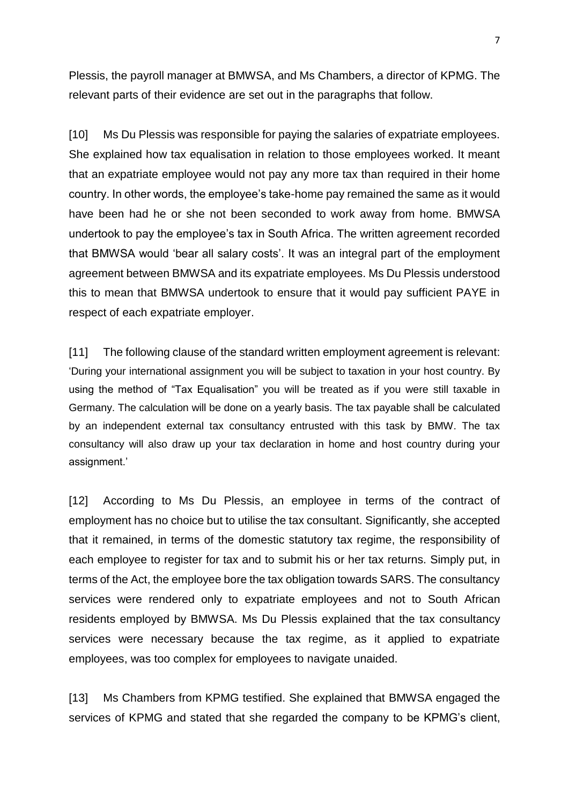Plessis, the payroll manager at BMWSA, and Ms Chambers, a director of KPMG. The relevant parts of their evidence are set out in the paragraphs that follow.

[10] Ms Du Plessis was responsible for paying the salaries of expatriate employees. She explained how tax equalisation in relation to those employees worked. It meant that an expatriate employee would not pay any more tax than required in their home country. In other words, the employee's take-home pay remained the same as it would have been had he or she not been seconded to work away from home. BMWSA undertook to pay the employee's tax in South Africa. The written agreement recorded that BMWSA would 'bear all salary costs'. It was an integral part of the employment agreement between BMWSA and its expatriate employees. Ms Du Plessis understood this to mean that BMWSA undertook to ensure that it would pay sufficient PAYE in respect of each expatriate employer.

[11] The following clause of the standard written employment agreement is relevant: 'During your international assignment you will be subject to taxation in your host country. By using the method of "Tax Equalisation" you will be treated as if you were still taxable in Germany. The calculation will be done on a yearly basis. The tax payable shall be calculated by an independent external tax consultancy entrusted with this task by BMW. The tax consultancy will also draw up your tax declaration in home and host country during your assignment.'

[12] According to Ms Du Plessis, an employee in terms of the contract of employment has no choice but to utilise the tax consultant. Significantly, she accepted that it remained, in terms of the domestic statutory tax regime, the responsibility of each employee to register for tax and to submit his or her tax returns. Simply put, in terms of the Act, the employee bore the tax obligation towards SARS. The consultancy services were rendered only to expatriate employees and not to South African residents employed by BMWSA. Ms Du Plessis explained that the tax consultancy services were necessary because the tax regime, as it applied to expatriate employees, was too complex for employees to navigate unaided.

[13] Ms Chambers from KPMG testified. She explained that BMWSA engaged the services of KPMG and stated that she regarded the company to be KPMG's client,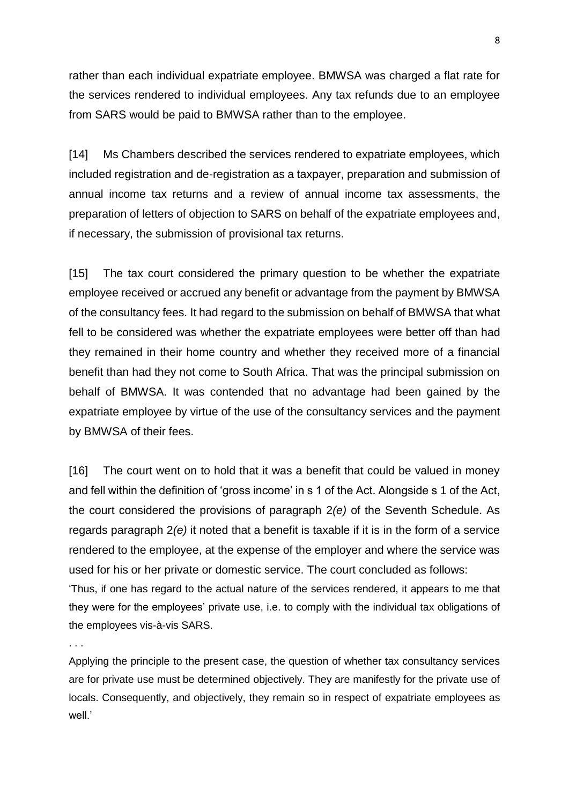rather than each individual expatriate employee. BMWSA was charged a flat rate for the services rendered to individual employees. Any tax refunds due to an employee from SARS would be paid to BMWSA rather than to the employee.

[14] Ms Chambers described the services rendered to expatriate employees, which included registration and de-registration as a taxpayer, preparation and submission of annual income tax returns and a review of annual income tax assessments, the preparation of letters of objection to SARS on behalf of the expatriate employees and, if necessary, the submission of provisional tax returns.

[15] The tax court considered the primary question to be whether the expatriate employee received or accrued any benefit or advantage from the payment by BMWSA of the consultancy fees. It had regard to the submission on behalf of BMWSA that what fell to be considered was whether the expatriate employees were better off than had they remained in their home country and whether they received more of a financial benefit than had they not come to South Africa. That was the principal submission on behalf of BMWSA. It was contended that no advantage had been gained by the expatriate employee by virtue of the use of the consultancy services and the payment by BMWSA of their fees.

[16] The court went on to hold that it was a benefit that could be valued in money and fell within the definition of 'gross income' in s 1 of the Act. Alongside s 1 of the Act, the court considered the provisions of paragraph 2*(e)* of the Seventh Schedule. As regards paragraph 2*(e)* it noted that a benefit is taxable if it is in the form of a service rendered to the employee, at the expense of the employer and where the service was used for his or her private or domestic service. The court concluded as follows:

'Thus, if one has regard to the actual nature of the services rendered, it appears to me that they were for the employees' private use, i.e. to comply with the individual tax obligations of the employees vis-à-vis SARS.

. . .

Applying the principle to the present case, the question of whether tax consultancy services are for private use must be determined objectively. They are manifestly for the private use of locals. Consequently, and objectively, they remain so in respect of expatriate employees as well.'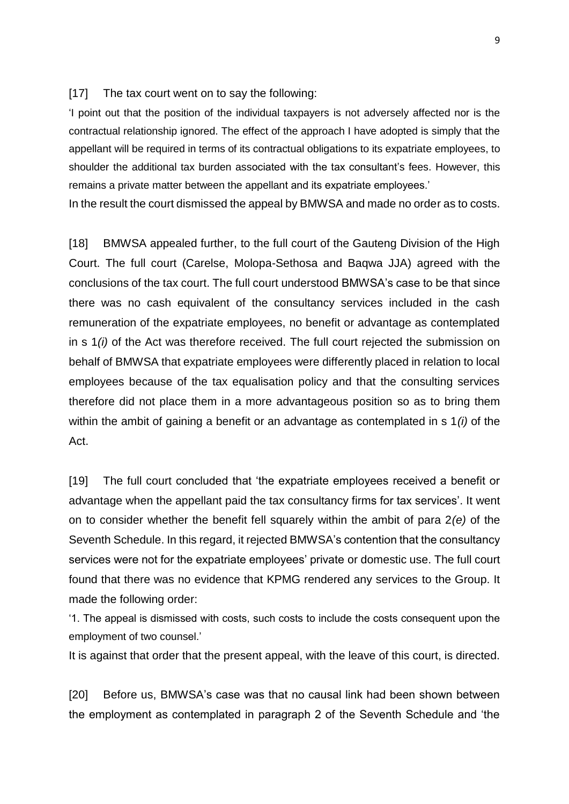[17] The tax court went on to say the following:

'I point out that the position of the individual taxpayers is not adversely affected nor is the contractual relationship ignored. The effect of the approach I have adopted is simply that the appellant will be required in terms of its contractual obligations to its expatriate employees, to shoulder the additional tax burden associated with the tax consultant's fees. However, this remains a private matter between the appellant and its expatriate employees.'

In the result the court dismissed the appeal by BMWSA and made no order as to costs.

[18] BMWSA appealed further, to the full court of the Gauteng Division of the High Court. The full court (Carelse, Molopa-Sethosa and Baqwa JJA) agreed with the conclusions of the tax court. The full court understood BMWSA's case to be that since there was no cash equivalent of the consultancy services included in the cash remuneration of the expatriate employees, no benefit or advantage as contemplated in s 1*(i)* of the Act was therefore received. The full court rejected the submission on behalf of BMWSA that expatriate employees were differently placed in relation to local employees because of the tax equalisation policy and that the consulting services therefore did not place them in a more advantageous position so as to bring them within the ambit of gaining a benefit or an advantage as contemplated in s 1*(i)* of the Act.

[19] The full court concluded that 'the expatriate employees received a benefit or advantage when the appellant paid the tax consultancy firms for tax services'. It went on to consider whether the benefit fell squarely within the ambit of para 2*(e)* of the Seventh Schedule. In this regard, it rejected BMWSA's contention that the consultancy services were not for the expatriate employees' private or domestic use. The full court found that there was no evidence that KPMG rendered any services to the Group. It made the following order:

'1. The appeal is dismissed with costs, such costs to include the costs consequent upon the employment of two counsel.'

It is against that order that the present appeal, with the leave of this court, is directed.

[20] Before us, BMWSA's case was that no causal link had been shown between the employment as contemplated in paragraph 2 of the Seventh Schedule and 'the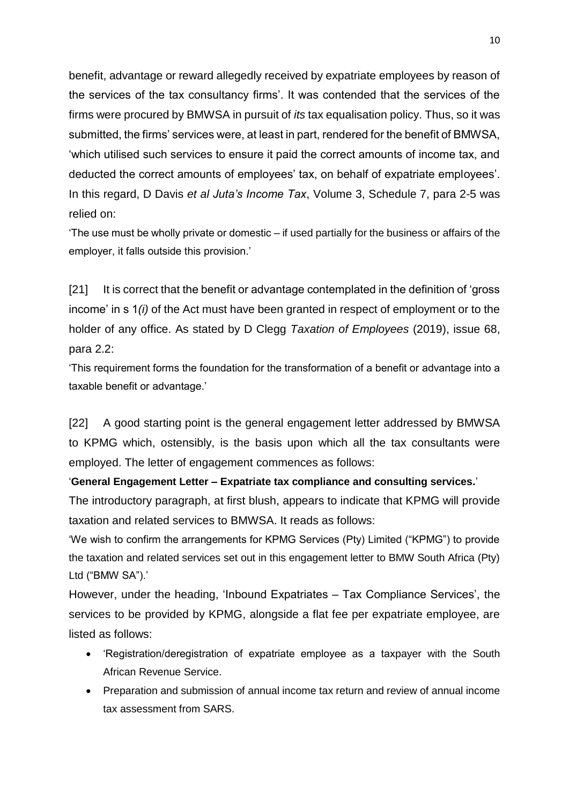benefit, advantage or reward allegedly received by expatriate employees by reason of the services of the tax consultancy firms'. It was contended that the services of the firms were procured by BMWSA in pursuit of *its* tax equalisation policy. Thus, so it was submitted, the firms' services were, at least in part, rendered for the benefit of BMWSA, 'which utilised such services to ensure it paid the correct amounts of income tax, and deducted the correct amounts of employees' tax, on behalf of expatriate employees'. In this regard, D Davis *et al Juta's Income Tax*, Volume 3, Schedule 7, para 2-5 was relied on:

'The use must be wholly private or domestic – if used partially for the business or affairs of the employer, it falls outside this provision.'

[21] It is correct that the benefit or advantage contemplated in the definition of 'gross income' in s 1*(i)* of the Act must have been granted in respect of employment or to the holder of any office. As stated by D Clegg *Taxation of Employees* (2019), issue 68, para 2.2:

'This requirement forms the foundation for the transformation of a benefit or advantage into a taxable benefit or advantage.'

[22] A good starting point is the general engagement letter addressed by BMWSA to KPMG which, ostensibly, is the basis upon which all the tax consultants were employed. The letter of engagement commences as follows:

#### '**General Engagement Letter – Expatriate tax compliance and consulting services.**'

The introductory paragraph, at first blush, appears to indicate that KPMG will provide taxation and related services to BMWSA. It reads as follows:

'We wish to confirm the arrangements for KPMG Services (Pty) Limited ("KPMG") to provide the taxation and related services set out in this engagement letter to BMW South Africa (Pty) Ltd ("BMW SA").'

However, under the heading, 'Inbound Expatriates – Tax Compliance Services', the services to be provided by KPMG, alongside a flat fee per expatriate employee, are listed as follows:

- 'Registration/deregistration of expatriate employee as a taxpayer with the South African Revenue Service.
- Preparation and submission of annual income tax return and review of annual income tax assessment from SARS.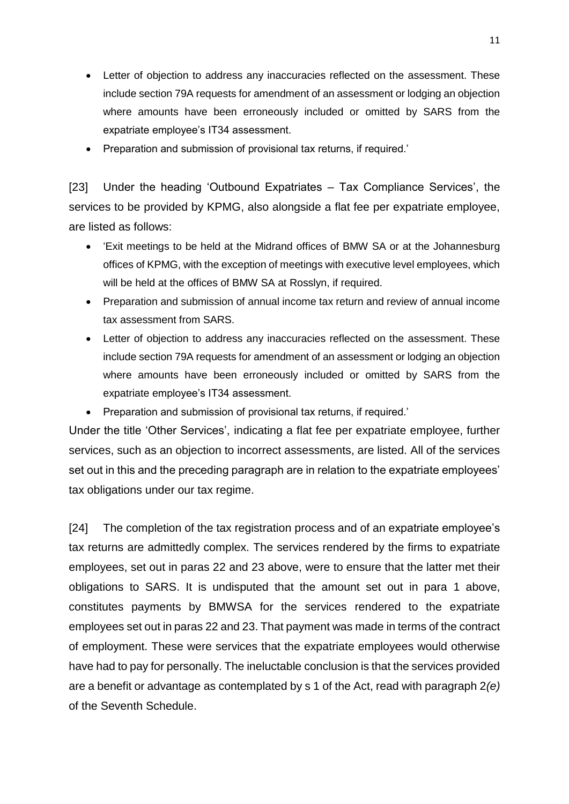- Letter of objection to address any inaccuracies reflected on the assessment. These include section 79A requests for amendment of an assessment or lodging an objection where amounts have been erroneously included or omitted by SARS from the expatriate employee's IT34 assessment.
- Preparation and submission of provisional tax returns, if required.'

[23] Under the heading 'Outbound Expatriates – Tax Compliance Services', the services to be provided by KPMG, also alongside a flat fee per expatriate employee, are listed as follows:

- 'Exit meetings to be held at the Midrand offices of BMW SA or at the Johannesburg offices of KPMG, with the exception of meetings with executive level employees, which will be held at the offices of BMW SA at Rosslyn, if required.
- Preparation and submission of annual income tax return and review of annual income tax assessment from SARS.
- Letter of objection to address any inaccuracies reflected on the assessment. These include section 79A requests for amendment of an assessment or lodging an objection where amounts have been erroneously included or omitted by SARS from the expatriate employee's IT34 assessment.
- Preparation and submission of provisional tax returns, if required.'

Under the title 'Other Services', indicating a flat fee per expatriate employee, further services, such as an objection to incorrect assessments, are listed. All of the services set out in this and the preceding paragraph are in relation to the expatriate employees' tax obligations under our tax regime.

[24] The completion of the tax registration process and of an expatriate employee's tax returns are admittedly complex. The services rendered by the firms to expatriate employees, set out in paras 22 and 23 above, were to ensure that the latter met their obligations to SARS. It is undisputed that the amount set out in para 1 above, constitutes payments by BMWSA for the services rendered to the expatriate employees set out in paras 22 and 23. That payment was made in terms of the contract of employment. These were services that the expatriate employees would otherwise have had to pay for personally. The ineluctable conclusion is that the services provided are a benefit or advantage as contemplated by s 1 of the Act, read with paragraph 2*(e)* of the Seventh Schedule.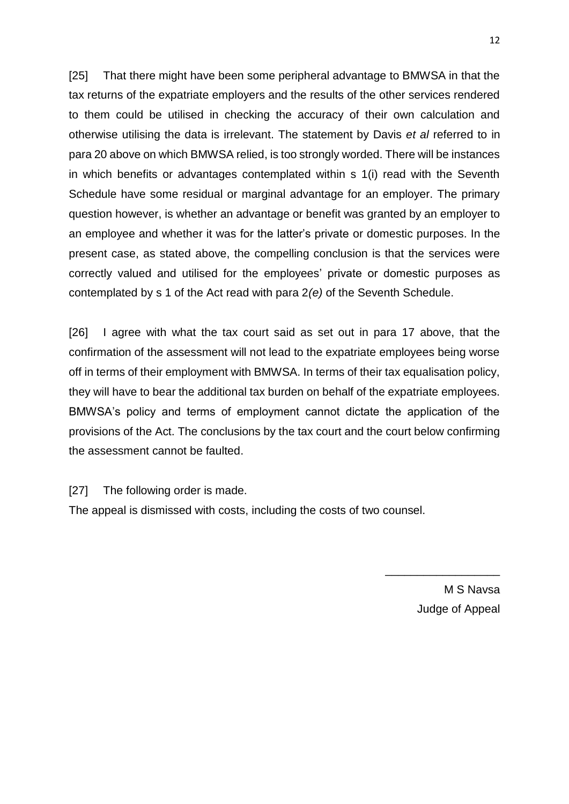[25] That there might have been some peripheral advantage to BMWSA in that the tax returns of the expatriate employers and the results of the other services rendered to them could be utilised in checking the accuracy of their own calculation and otherwise utilising the data is irrelevant. The statement by Davis *et al* referred to in para 20 above on which BMWSA relied, is too strongly worded. There will be instances in which benefits or advantages contemplated within s 1(i) read with the Seventh Schedule have some residual or marginal advantage for an employer. The primary question however, is whether an advantage or benefit was granted by an employer to an employee and whether it was for the latter's private or domestic purposes. In the present case, as stated above, the compelling conclusion is that the services were correctly valued and utilised for the employees' private or domestic purposes as contemplated by s 1 of the Act read with para 2*(e)* of the Seventh Schedule.

[26] I agree with what the tax court said as set out in para 17 above, that the confirmation of the assessment will not lead to the expatriate employees being worse off in terms of their employment with BMWSA. In terms of their tax equalisation policy, they will have to bear the additional tax burden on behalf of the expatriate employees. BMWSA's policy and terms of employment cannot dictate the application of the provisions of the Act. The conclusions by the tax court and the court below confirming the assessment cannot be faulted.

[27] The following order is made.

The appeal is dismissed with costs, including the costs of two counsel.

M S Navsa Judge of Appeal

\_\_\_\_\_\_\_\_\_\_\_\_\_\_\_\_\_\_